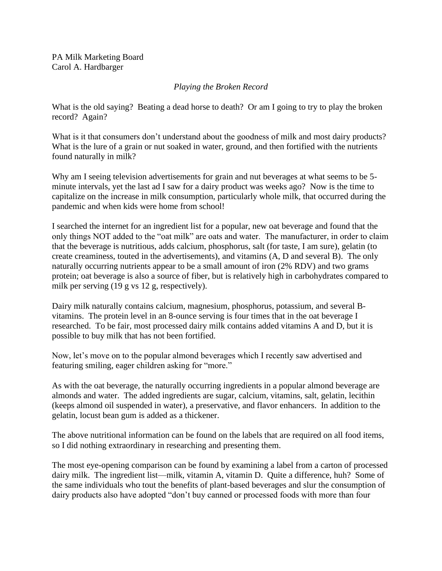PA Milk Marketing Board Carol A. Hardbarger

## *Playing the Broken Record*

What is the old saying? Beating a dead horse to death? Or am I going to try to play the broken record? Again?

What is it that consumers don't understand about the goodness of milk and most dairy products? What is the lure of a grain or nut soaked in water, ground, and then fortified with the nutrients found naturally in milk?

Why am I seeing television advertisements for grain and nut beverages at what seems to be 5minute intervals, yet the last ad I saw for a dairy product was weeks ago? Now is the time to capitalize on the increase in milk consumption, particularly whole milk, that occurred during the pandemic and when kids were home from school!

I searched the internet for an ingredient list for a popular, new oat beverage and found that the only things NOT added to the "oat milk" are oats and water. The manufacturer, in order to claim that the beverage is nutritious, adds calcium, phosphorus, salt (for taste, I am sure), gelatin (to create creaminess, touted in the advertisements), and vitamins (A, D and several B). The only naturally occurring nutrients appear to be a small amount of iron (2% RDV) and two grams protein; oat beverage is also a source of fiber, but is relatively high in carbohydrates compared to milk per serving (19 g vs 12 g, respectively).

Dairy milk naturally contains calcium, magnesium, phosphorus, potassium, and several Bvitamins. The protein level in an 8-ounce serving is four times that in the oat beverage I researched. To be fair, most processed dairy milk contains added vitamins A and D, but it is possible to buy milk that has not been fortified.

Now, let's move on to the popular almond beverages which I recently saw advertised and featuring smiling, eager children asking for "more."

As with the oat beverage, the naturally occurring ingredients in a popular almond beverage are almonds and water. The added ingredients are sugar, calcium, vitamins, salt, gelatin, lecithin (keeps almond oil suspended in water), a preservative, and flavor enhancers. In addition to the gelatin, locust bean gum is added as a thickener.

The above nutritional information can be found on the labels that are required on all food items, so I did nothing extraordinary in researching and presenting them.

The most eye-opening comparison can be found by examining a label from a carton of processed dairy milk. The ingredient list—milk, vitamin A, vitamin D. Quite a difference, huh? Some of the same individuals who tout the benefits of plant-based beverages and slur the consumption of dairy products also have adopted "don't buy canned or processed foods with more than four